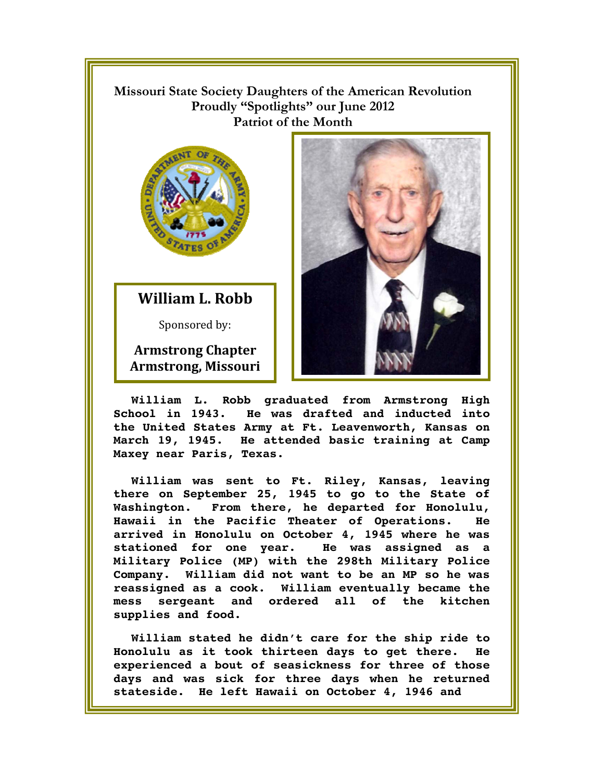## $\mathbb{R}$ **Missouri State Society Daughters of the American Revolution Proudly "Spotlights" our June 2012 Patriot of the Month**



**William L. Robb**

Sponsored by:

**Armstrong Chapter Armstrong, Missouri** 



**William L. Robb graduated from Armstrong High School in 1943. He was drafted and inducted into the United States Army at Ft. Leavenworth, Kansas on March 19, 1945. He attended basic training at Camp Maxey near Paris, Texas.** 

**William was sent to Ft. Riley, Kansas, leaving there on September 25, 1945 to go to the State of Washington. From there, he departed for Honolulu, Hawaii in the Pacific Theater of Operations. He arrived in Honolulu on October 4, 1945 where he was stationed for one year. He was assigned as a Military Police (MP) with the 298th Military Police Company. William did not want to be an MP so he was reassigned as a cook. William eventually became the mess sergeant and ordered all of the kitchen supplies and food.** 

**William stated he didn't care for the ship ride to Honolulu as it took thirteen days to get there. He experienced a bout of seasickness for three of those days and was sick for three days when he returned stateside. He left Hawaii on October 4, 1946 and**